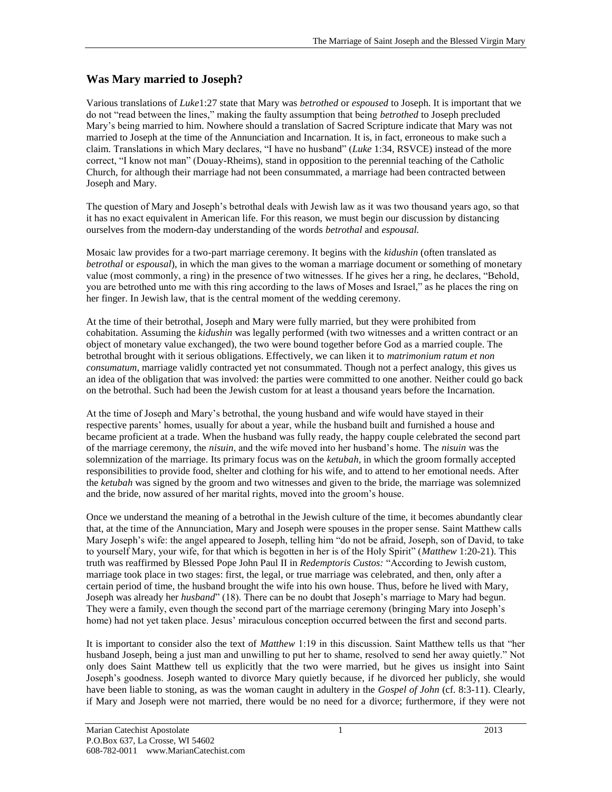## **Was Mary married to Joseph?**

Various translations of *Luke*1:27 state that Mary was *betrothed* or *espoused* to Joseph. It is important that we do not "read between the lines," making the faulty assumption that being *betrothed* to Joseph precluded Mary's being married to him. Nowhere should a translation of Sacred Scripture indicate that Mary was not married to Joseph at the time of the Annunciation and Incarnation. It is, in fact, erroneous to make such a claim. Translations in which Mary declares, "I have no husband" (*Luke* 1:34, RSVCE) instead of the more correct, "I know not man" (Douay-Rheims), stand in opposition to the perennial teaching of the Catholic Church, for although their marriage had not been consummated, a marriage had been contracted between Joseph and Mary.

The question of Mary and Joseph's betrothal deals with Jewish law as it was two thousand years ago, so that it has no exact equivalent in American life. For this reason, we must begin our discussion by distancing ourselves from the modern-day understanding of the words *betrothal* and *espousal.* 

Mosaic law provides for a two-part marriage ceremony. It begins with the *kidushin* (often translated as *betrothal* or *espousal*), in which the man gives to the woman a marriage document or something of monetary value (most commonly, a ring) in the presence of two witnesses. If he gives her a ring, he declares, "Behold, you are betrothed unto me with this ring according to the laws of Moses and Israel," as he places the ring on her finger. In Jewish law, that is the central moment of the wedding ceremony.

At the time of their betrothal, Joseph and Mary were fully married, but they were prohibited from cohabitation. Assuming the *kidushin* was legally performed (with two witnesses and a written contract or an object of monetary value exchanged), the two were bound together before God as a married couple. The betrothal brought with it serious obligations. Effectively, we can liken it to *matrimonium ratum et non consumatum*, marriage validly contracted yet not consummated. Though not a perfect analogy, this gives us an idea of the obligation that was involved: the parties were committed to one another. Neither could go back on the betrothal. Such had been the Jewish custom for at least a thousand years before the Incarnation.

At the time of Joseph and Mary's betrothal, the young husband and wife would have stayed in their respective parents' homes, usually for about a year, while the husband built and furnished a house and became proficient at a trade. When the husband was fully ready, the happy couple celebrated the second part of the marriage ceremony, the *nisuin*, and the wife moved into her husband's home. The *nisuin* was the solemnization of the marriage. Its primary focus was on the *ketubah*, in which the groom formally accepted responsibilities to provide food, shelter and clothing for his wife, and to attend to her emotional needs. After the *ketubah* was signed by the groom and two witnesses and given to the bride, the marriage was solemnized and the bride, now assured of her marital rights, moved into the groom's house.

Once we understand the meaning of a betrothal in the Jewish culture of the time, it becomes abundantly clear that, at the time of the Annunciation, Mary and Joseph were spouses in the proper sense. Saint Matthew calls Mary Joseph's wife: the angel appeared to Joseph, telling him "do not be afraid, Joseph, son of David, to take to yourself Mary, your wife, for that which is begotten in her is of the Holy Spirit" (*Matthew* 1:20-21). This truth was reaffirmed by Blessed Pope John Paul II in *Redemptoris Custos:* "According to Jewish custom, marriage took place in two stages: first, the legal, or true marriage was celebrated, and then, only after a certain period of time, the husband brought the wife into his own house. Thus, before he lived with Mary, Joseph was already her *husband*" (18). There can be no doubt that Joseph's marriage to Mary had begun. They were a family, even though the second part of the marriage ceremony (bringing Mary into Joseph's home) had not yet taken place. Jesus' miraculous conception occurred between the first and second parts.

It is important to consider also the text of *Matthew* 1:19 in this discussion. Saint Matthew tells us that "her husband Joseph, being a just man and unwilling to put her to shame, resolved to send her away quietly." Not only does Saint Matthew tell us explicitly that the two were married, but he gives us insight into Saint Joseph's goodness. Joseph wanted to divorce Mary quietly because, if he divorced her publicly, she would have been liable to stoning, as was the woman caught in adultery in the *Gospel of John* (cf. 8:3-11). Clearly, if Mary and Joseph were not married, there would be no need for a divorce; furthermore, if they were not